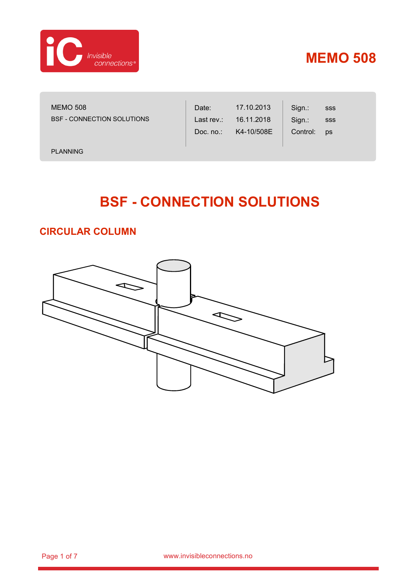

sss sss ps

Sign.: Sign.: Control:

MEMO 508 BSF - CONNECTION SOLUTIONS

PLANNING

# **BSF - CONNECTION SOLUTIONS**

Date: Last rev.: Doc. no.: 17.10.2013 16.11.2018 K4-10/508E

#### **CIRCULAR COLUMN**

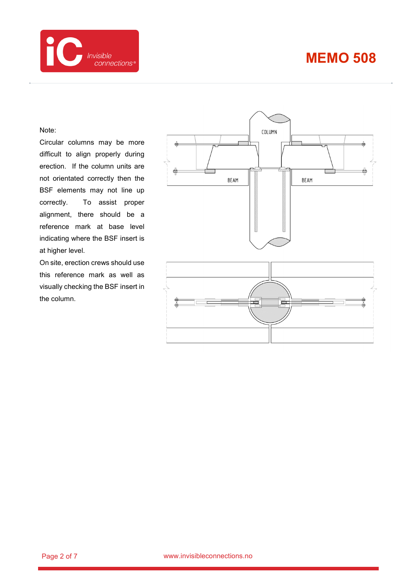

#### Note:

Circular columns may be more difficult to align properly during erection. If the column units are not orientated correctly then the BSF elements may not line up correctly. To assist proper alignment, there should be a reference mark at base level indicating where the BSF insert is at higher level.

On site, erection crews should use this reference mark as well as visually checking the BSF insert in the column.

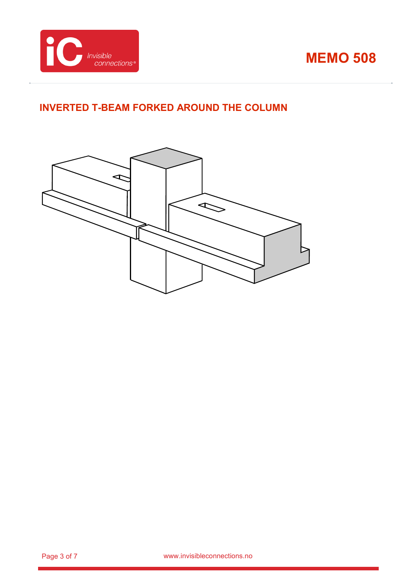

#### **INVERTED T-BEAM FORKED AROUND THE COLUMN**

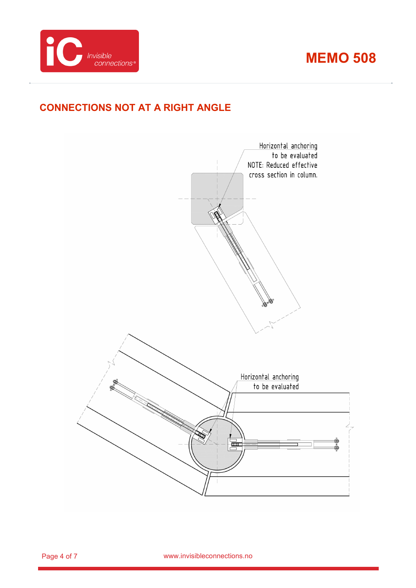

### **CONNECTIONS NOT AT A RIGHT ANGLE**

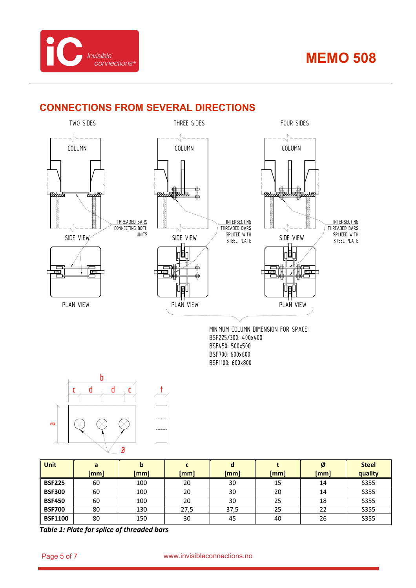



#### **CONNECTIONS FROM SEVERAL DIRECTIONS**



BSF450: 500x500 BSF700: 600x600 BSF1100: 600x800



| <b>Unit</b>    | a    |      |      | $\bullet$ |      | Ø    | <b>Steel</b> |
|----------------|------|------|------|-----------|------|------|--------------|
|                | [mm] | [mm] | [mm] | [mm]      | [mm] | [mm] | quality      |
| <b>BSF225</b>  | 60   | 100  | 20   | 30        | 15   | 14   | S355         |
| <b>BSF300</b>  | 60   | 100  | 20   | 30        | 20   | 14   | S355         |
| <b>BSF450</b>  | 60   | 100  | 20   | 30        | 25   | 18   | S355         |
| <b>BSF700</b>  | 80   | 130  | 27,5 | 37,5      | 25   | 22   | S355         |
| <b>BSF1100</b> | 80   | 150  | 30   | 45        | 40   | 26   | <b>S355</b>  |

*Table 1: Plate for splice of threaded bars*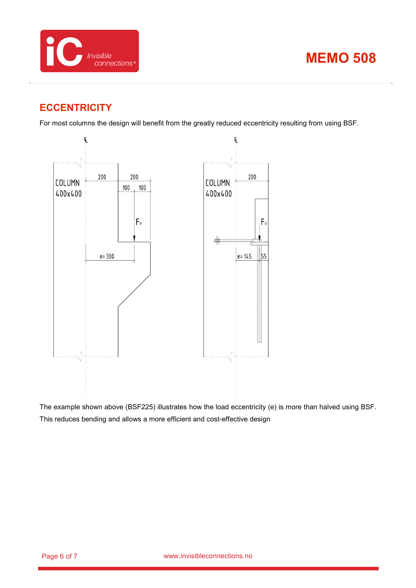



#### **ECCENTRICITY**

For most columns the design will benefit from the greatly reduced eccentricity resulting from using BSF.



The example shown above (BSF225) illustrates how the load eccentricity (e) is more than halved using BSF. This reduces bending and allows a more efficient and cost-effective design